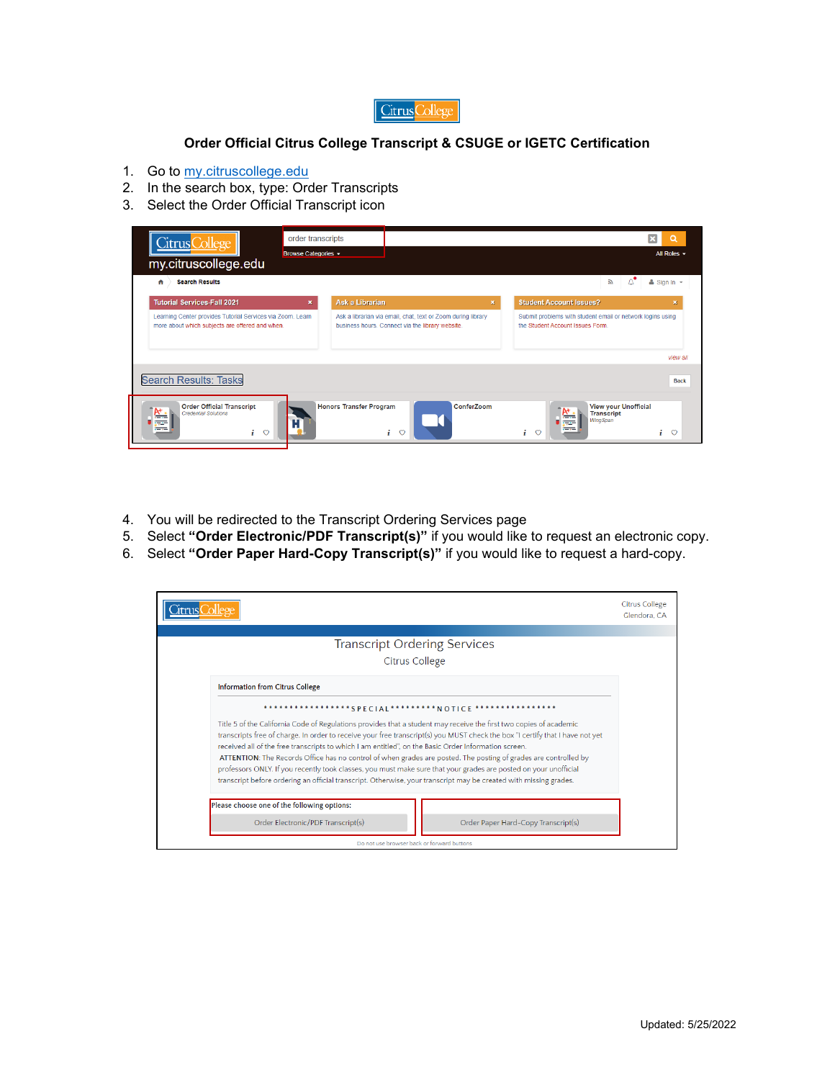

## **Order Official Citrus College Transcript & CSUGE or IGETC Certification**

- 1. Go to [my.citruscollege.edu](https://my.citruscollege.edu/)
- 2. In the search box, type: Order Transcripts
- 3. Select the Order Official Transcript icon

| Citrus College<br>my.citruscollege.edu<br><b>Search Results</b><br>₩                                          | order transcripts<br>Browse Categories - |                                |                                                                                                                  |   | All Roles $\sim$<br>5y<br>$\triangle$ Sign In $\sim$                                          |
|---------------------------------------------------------------------------------------------------------------|------------------------------------------|--------------------------------|------------------------------------------------------------------------------------------------------------------|---|-----------------------------------------------------------------------------------------------|
| <b>Tutorial Services-Fall 2021</b>                                                                            | $\boldsymbol{\mathsf{x}}$                | Ask a Librarian                |                                                                                                                  | 裳 | <b>Student Account Issues?</b><br>×                                                           |
| Learning Center provides Tutorial Services via Zoom. Learn<br>more about which subjects are offered and when. |                                          |                                | Ask a librarian via email, chat, text or Zoom during library<br>business hours. Connect via the library website. |   | Submit problems with student email or network logins using<br>the Student Account Issues Form |
|                                                                                                               |                                          |                                |                                                                                                                  |   | view all                                                                                      |
| <b>Search Results: Tasks</b>                                                                                  |                                          |                                |                                                                                                                  |   | <b>Back</b>                                                                                   |
| <b>Order Official Transcript</b><br><b>Credential Solutions</b><br>$\mathbf{i}$<br>$\circ$                    |                                          | <b>Honors Transfer Program</b> | ConferZoom<br>i<br>$\circ$                                                                                       |   | <b>View your Unofficial</b><br><b>Transcript</b><br>WingSpan<br>÷<br>$\circ$<br>$\circ$<br>i. |

- 4. You will be redirected to the Transcript Ordering Services page
- 5. Select **"Order Electronic/PDF Transcript(s)"** if you would like to request an electronic copy.
- 6. Select **"Order Paper Hard-Copy Transcript(s)"** if you would like to request a hard-copy.

|                                                                                                                                                                                                                                       | <b>Citrus College</b><br>Glendora, CA |
|---------------------------------------------------------------------------------------------------------------------------------------------------------------------------------------------------------------------------------------|---------------------------------------|
|                                                                                                                                                                                                                                       |                                       |
| <b>Transcript Ordering Services</b>                                                                                                                                                                                                   |                                       |
| <b>Citrus College</b>                                                                                                                                                                                                                 |                                       |
| <b>Information from Citrus College</b>                                                                                                                                                                                                |                                       |
| *****************SPECIAL*********N OTICE                                                                                                                                                                                              |                                       |
| Title 5 of the California Code of Regulations provides that a student may receive the first two copies of academic                                                                                                                    |                                       |
| transcripts free of charge. In order to receive your free transcript(s) you MUST check the box "I certify that I have not yet<br>received all of the free transcripts to which I am entitled", on the Basic Order Information screen. |                                       |
| ATTENTION: The Records Office has no control of when grades are posted. The posting of grades are controlled by                                                                                                                       |                                       |
| professors ONLY. If you recently took classes, you must make sure that your grades are posted on your unofficial                                                                                                                      |                                       |
| transcript before ordering an official transcript. Otherwise, your transcript may be created with missing grades.                                                                                                                     |                                       |
| Please choose one of the following options:                                                                                                                                                                                           |                                       |
| Order Electronic/PDF Transcript(s)<br>Order Paper Hard-Copy Transcript(s)                                                                                                                                                             |                                       |
| Do not use browser back or forward buttons                                                                                                                                                                                            |                                       |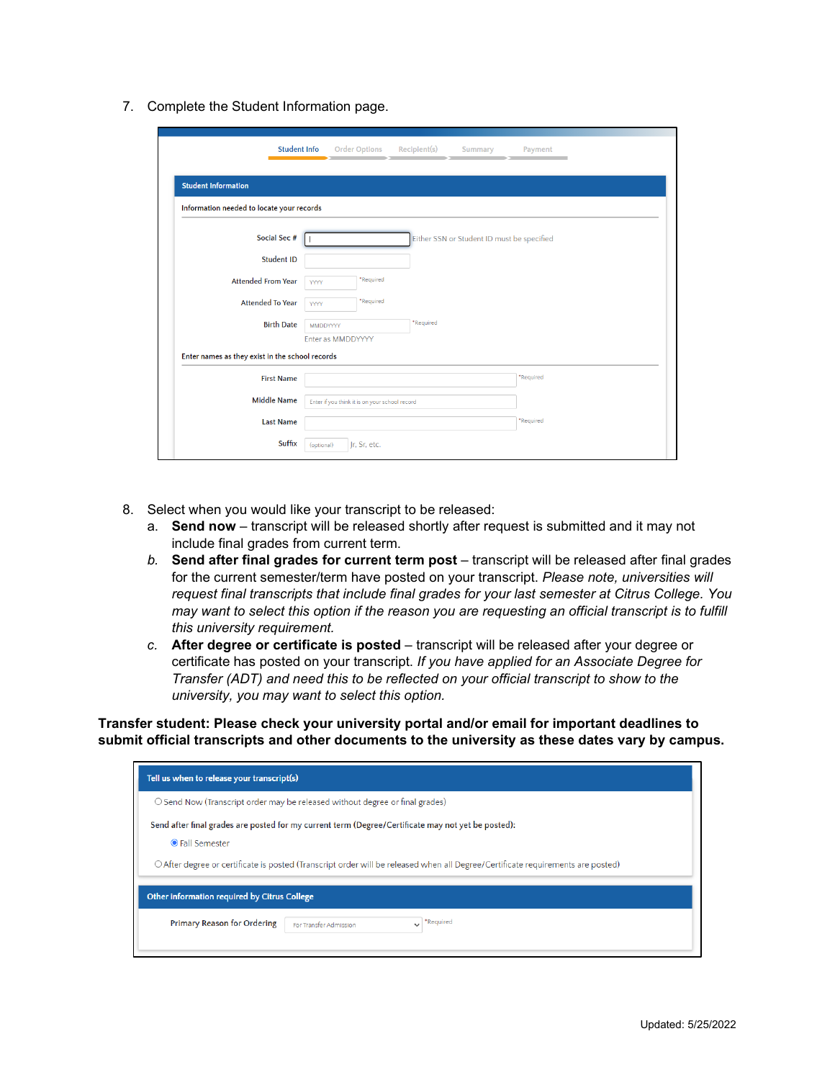7. Complete the Student Information page.

| <b>Student Info</b>                             | <b>Order Options</b><br>Recipient(s)<br>Payment<br>Summary |
|-------------------------------------------------|------------------------------------------------------------|
| <b>Student Information</b>                      |                                                            |
| Information needed to locate your records       |                                                            |
| Social Sec #                                    | Either SSN or Student ID must be specified                 |
| <b>Student ID</b>                               |                                                            |
| <b>Attended From Year</b>                       | *Required<br><b>YYYY</b>                                   |
| <b>Attended To Year</b>                         | *Required<br><b>YYYY</b>                                   |
| <b>Birth Date</b>                               | *Required<br>MMDDYYYY                                      |
|                                                 | Enter as MMDDYYYY                                          |
| Enter names as they exist in the school records |                                                            |
| <b>First Name</b>                               | *Required                                                  |
| <b>Middle Name</b>                              | Enter if you think it is on your school record             |
| <b>Last Name</b>                                | *Required                                                  |
| Suffix                                          | Jr, Sr, etc.<br>(optional)                                 |

- 8. Select when you would like your transcript to be released:
	- a. **Send now** transcript will be released shortly after request is submitted and it may not include final grades from current term.
	- *b.* **Send after final grades for current term post** transcript will be released after final grades for the current semester/term have posted on your transcript. *Please note, universities will request final transcripts that include final grades for your last semester at Citrus College. You may want to select this option if the reason you are requesting an official transcript is to fulfill this university requirement.*
	- c. **After degree or certificate is posted** transcript will be released after your degree or certificate has posted on your transcript. *If you have applied for an Associate Degree for Transfer (ADT) and need this to be reflected on your official transcript to show to the university, you may want to select this option.*

**Transfer student: Please check your university portal and/or email for important deadlines to submit official transcripts and other documents to the university as these dates vary by campus.**

| Tell us when to release your transcript(s)                                                                                                                                                                                                                     |
|----------------------------------------------------------------------------------------------------------------------------------------------------------------------------------------------------------------------------------------------------------------|
| $\circ$ Send Now (Transcript order may be released without degree or final grades)                                                                                                                                                                             |
| Send after final grades are posted for my current term (Degree/Certificate may not yet be posted):<br><b>OFall Semester</b><br>O After degree or certificate is posted (Transcript order will be released when all Degree/Certificate requirements are posted) |
| Other information required by Citrus College                                                                                                                                                                                                                   |
| *Required<br><b>Primary Reason for Ordering</b><br>For Transfer Admission                                                                                                                                                                                      |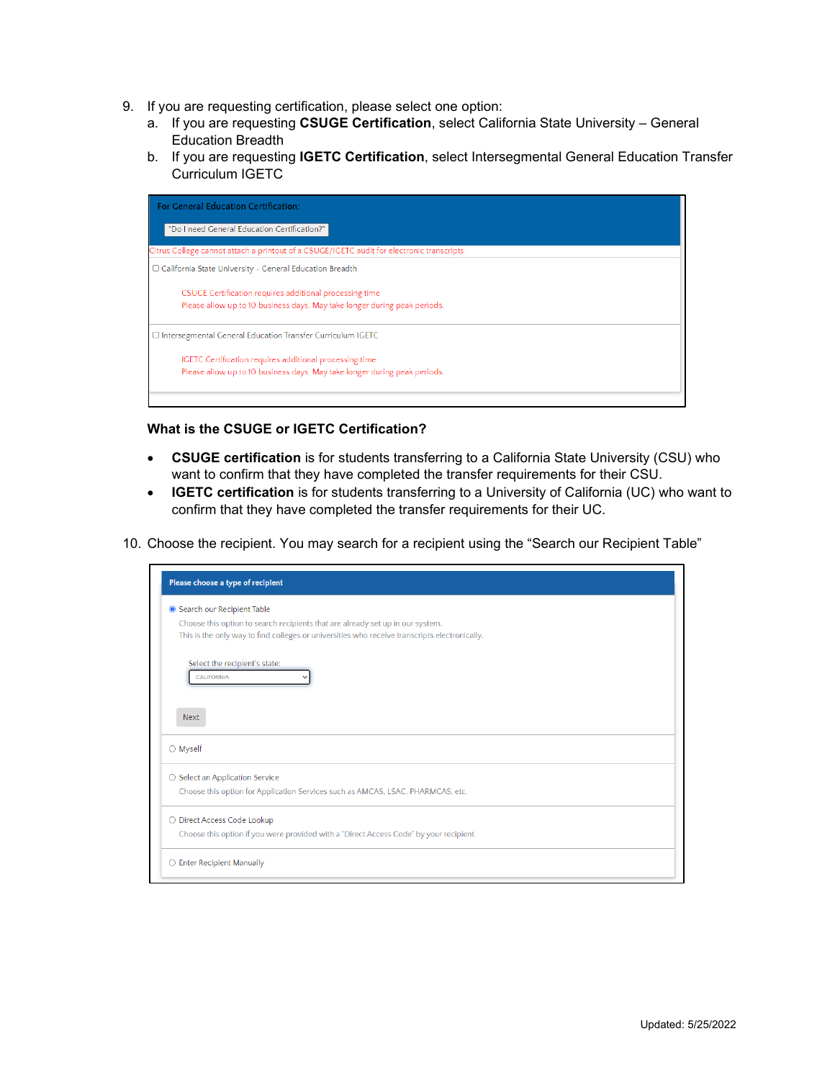- 9. If you are requesting certification, please select one option:
	- a. If you are requesting **CSUGE Certification**, select California State University General Education Breadth
	- b. If you are requesting **IGETC Certification**, select Intersegmental General Education Transfer Curriculum IGETC



## **What is the CSUGE or IGETC Certification?**

- **CSUGE certification** is for students transferring to a California State University (CSU) who want to confirm that they have completed the transfer requirements for their CSU.
- **IGETC certification** is for students transferring to a University of California (UC) who want to confirm that they have completed the transfer requirements for their UC.
- 10. Choose the recipient. You may search for a recipient using the "Search our Recipient Table"

| Please choose a type of recipient                                                             |  |
|-----------------------------------------------------------------------------------------------|--|
| Search our Recipient Table                                                                    |  |
| Choose this option to search recipients that are already set up in our system.                |  |
| This is the only way to find colleges or universities who receive transcripts electronically. |  |
| Select the recipient's state:                                                                 |  |
| <b>CALIFORNIA</b>                                                                             |  |
|                                                                                               |  |
| <b>Next</b>                                                                                   |  |
| ○ Myself                                                                                      |  |
| ○ Select an Application Service                                                               |  |
| Choose this option for Application Services such as AMCAS, LSAC, PHARMCAS, etc.               |  |
| O Direct Access Code Lookup                                                                   |  |
| Choose this option if you were provided with a "Direct Access Code" by your recipient.        |  |
| $\bigcirc$ Enter Recipient Manually                                                           |  |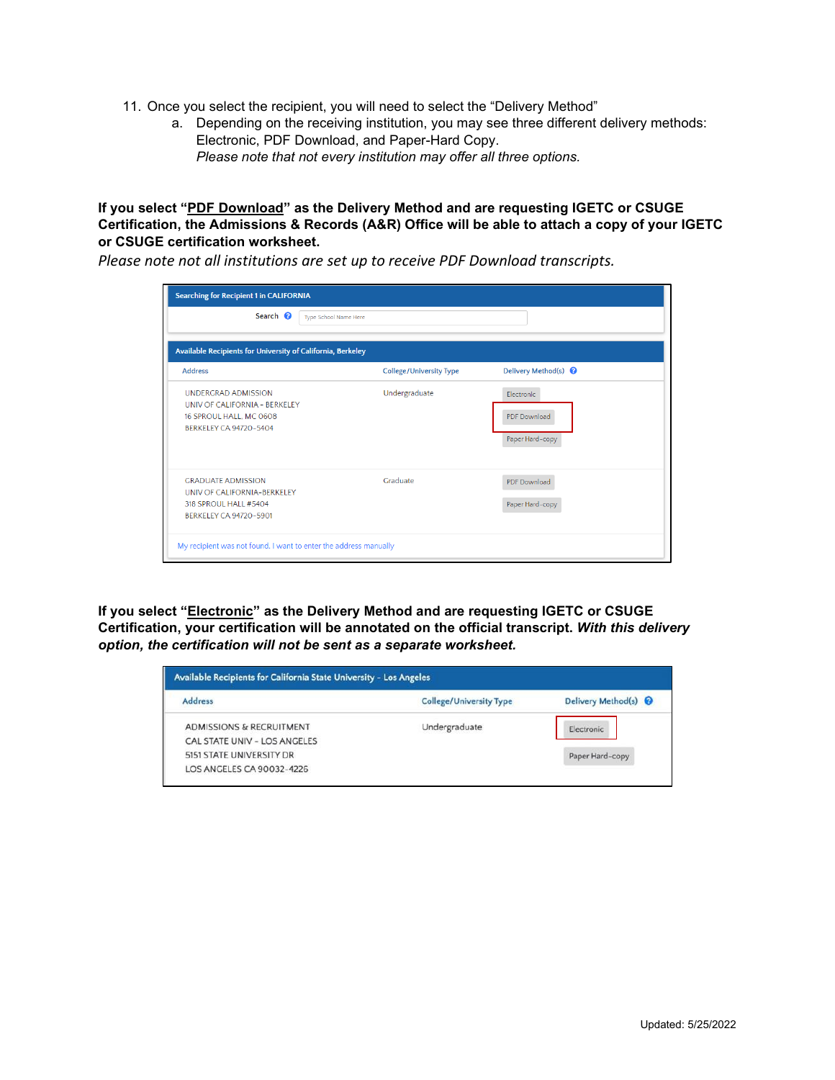- 11. Once you select the recipient, you will need to select the "Delivery Method"
	- a. Depending on the receiving institution, you may see three different delivery methods: Electronic, PDF Download, and Paper-Hard Copy. *Please note that not every institution may offer all three options.*

## **If you select "PDF Download" as the Delivery Method and are requesting IGETC or CSUGE Certification, the Admissions & Records (A&R) Office will be able to attach a copy of your IGETC or CSUGE certification worksheet.**

*Please note not all institutions are set up to receive PDF Download transcripts.*

| <b>Searching for Recipient 1 in CALIFORNIA</b>                                                                          |                                |                                                      |
|-------------------------------------------------------------------------------------------------------------------------|--------------------------------|------------------------------------------------------|
| Search <sup>2</sup>                                                                                                     | Type School Name Here          |                                                      |
| Available Recipients for University of California, Berkeley                                                             |                                |                                                      |
| <b>Address</b>                                                                                                          | <b>College/University Type</b> | Delivery Method(s) <sup>O</sup>                      |
| <b>UNDERGRAD ADMISSION</b><br>UNIV OF CALIFORNIA - BERKELEY<br>16 SPROUL HALL, MC 0608<br><b>BERKELEY CA 94720-5404</b> | Undergraduate                  | Electronic<br><b>PDF</b> Download<br>Paper Hard-copy |
| <b>GRADUATE ADMISSION</b><br>UNIV OF CALIFORNIA-BERKELFY<br>318 SPROUL HALL #5404<br>BERKELEY CA 94720-5901             | Graduate                       | <b>PDF</b> Download<br>Paper Hard-copy               |

**If you select "Electronic" as the Delivery Method and are requesting IGETC or CSUGE Certification, your certification will be annotated on the official transcript.** *With this delivery option, the certification will not be sent as a separate worksheet.*

| Available Recipients for California State University - Los Angeles |                                |                                 |
|--------------------------------------------------------------------|--------------------------------|---------------------------------|
| <b>Address</b>                                                     | <b>College/University Type</b> | Delivery Method(s) <sup>O</sup> |
| ADMISSIONS & RECRUITMENT                                           | Undergraduate                  | Electronic                      |
| CAL STATE UNIV - LOS ANGELES                                       |                                |                                 |
| 5151 STATE UNIVERSITY DR                                           |                                | Paper Hard-copy                 |
| LOS ANGELES CA 90032-4226                                          |                                |                                 |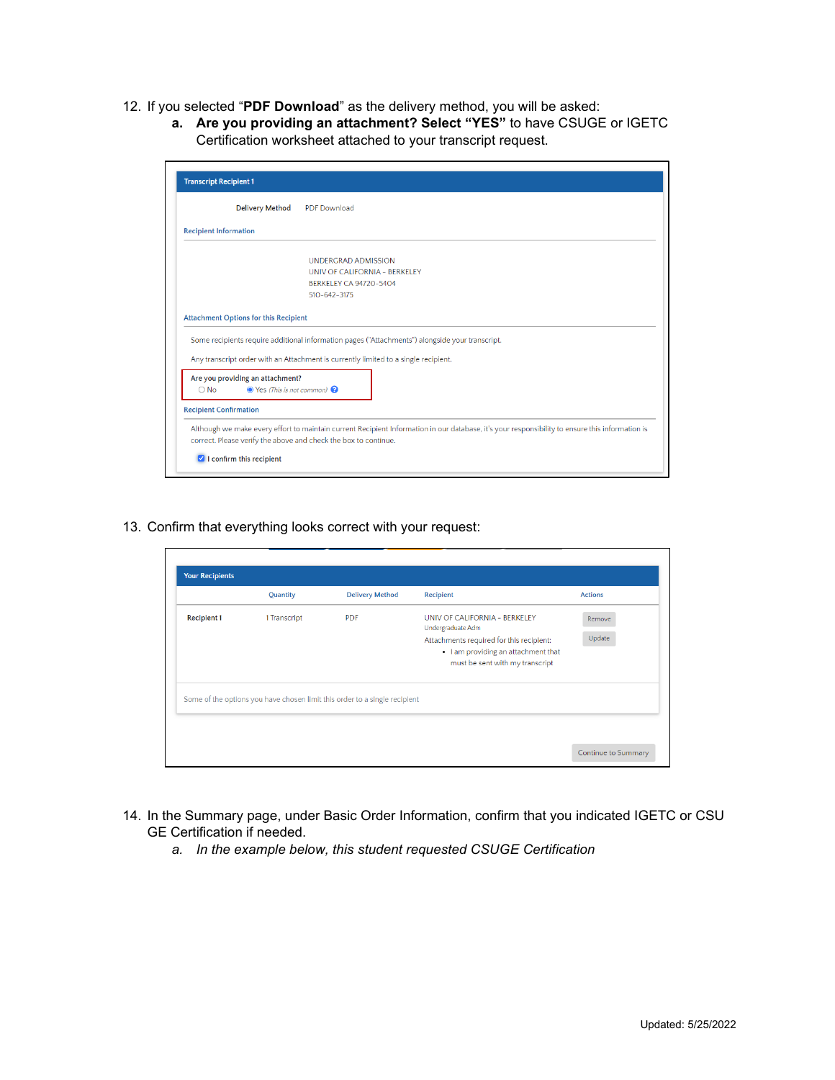- 12. If you selected "**PDF Download**" as the delivery method, you will be asked:
	- **a. Are you providing an attachment? Select "YES"** to have CSUGE or IGETC Certification worksheet attached to your transcript request.

|                                                                                                   | <b>Delivery Method</b><br><b>PDF</b> Download                                                                                                                                          |
|---------------------------------------------------------------------------------------------------|----------------------------------------------------------------------------------------------------------------------------------------------------------------------------------------|
| <b>Recipient Information</b>                                                                      |                                                                                                                                                                                        |
|                                                                                                   | <b>UNDERGRAD ADMISSION</b>                                                                                                                                                             |
|                                                                                                   | UNIV OF CALIFORNIA - BERKELEY                                                                                                                                                          |
|                                                                                                   | BERKELEY CA 94720-5404                                                                                                                                                                 |
|                                                                                                   | 510-642-3175                                                                                                                                                                           |
|                                                                                                   |                                                                                                                                                                                        |
|                                                                                                   | Some recipients require additional information pages ("Attachments") alongside your transcript.<br>Any transcript order with an Attachment is currently limited to a single recipient. |
| <b>Attachment Options for this Recipient</b><br>Are you providing an attachment?<br>$\bigcirc$ No | $\bullet$ Yes (This is not common) $\bullet$                                                                                                                                           |
| <b>Recipient Confirmation</b>                                                                     |                                                                                                                                                                                        |

13. Confirm that everything looks correct with your request:

|                    | Quantity     | <b>Delivery Method</b>                                                     | Recipient                                                                                                          | <b>Actions</b> |
|--------------------|--------------|----------------------------------------------------------------------------|--------------------------------------------------------------------------------------------------------------------|----------------|
| <b>Recipient 1</b> | 1 Transcript | <b>PDF</b>                                                                 | UNIV OF CALIFORNIA - BERKELEY<br>Undergraduate Adm                                                                 | Remove         |
|                    |              |                                                                            | Attachments required for this recipient:<br>. I am providing an attachment that<br>must be sent with my transcript | Update         |
|                    |              | Some of the options you have chosen limit this order to a single recipient |                                                                                                                    |                |
|                    |              |                                                                            |                                                                                                                    |                |

- 14. In the Summary page, under Basic Order Information, confirm that you indicated IGETC or CSU GE Certification if needed.
	- *a. In the example below, this student requested CSUGE Certification*